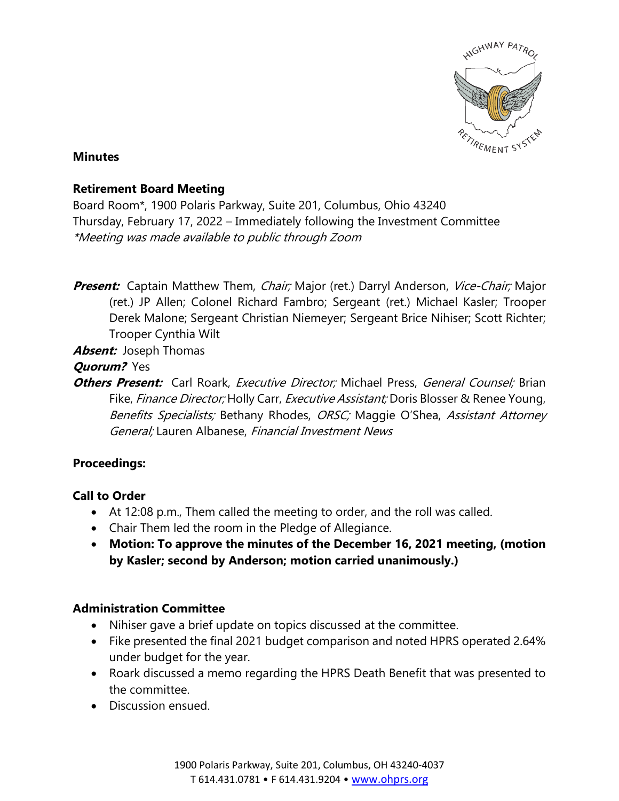

### **Minutes**

## **Retirement Board Meeting**

Board Room\*, 1900 Polaris Parkway, Suite 201, Columbus, Ohio 43240 Thursday, February 17, 2022 – Immediately following the Investment Committee \*Meeting was made available to public through Zoom

**Present:** Captain Matthew Them, *Chair;* Major (ret.) Darryl Anderson, *Vice-Chair;* Major (ret.) JP Allen; Colonel Richard Fambro; Sergeant (ret.) Michael Kasler; Trooper Derek Malone; Sergeant Christian Niemeyer; Sergeant Brice Nihiser; Scott Richter; Trooper Cynthia Wilt

**Absent:** Joseph Thomas

## **Quorum?** Yes

**Others Present:** Carl Roark, *Executive Director;* Michael Press, *General Counsel;* Brian Fike, *Finance Director;* Holly Carr, *Executive Assistant;* Doris Blosser & Renee Young, Benefits Specialists; Bethany Rhodes, ORSC; Maggie O'Shea, Assistant Attorney General; Lauren Albanese, Financial Investment News

# **Proceedings:**

# **Call to Order**

- At 12:08 p.m., Them called the meeting to order, and the roll was called.
- Chair Them led the room in the Pledge of Allegiance.
- **Motion: To approve the minutes of the December 16, 2021 meeting, (motion by Kasler; second by Anderson; motion carried unanimously.)**

# **Administration Committee**

- Nihiser gave a brief update on topics discussed at the committee.
- Fike presented the final 2021 budget comparison and noted HPRS operated 2.64% under budget for the year.
- Roark discussed a memo regarding the HPRS Death Benefit that was presented to the committee.
- Discussion ensued.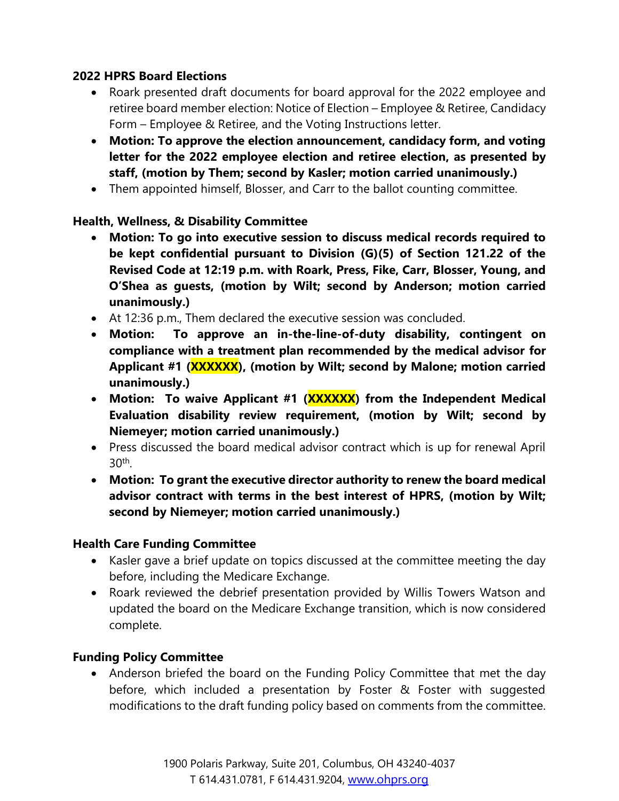## **2022 HPRS Board Elections**

- Roark presented draft documents for board approval for the 2022 employee and retiree board member election: Notice of Election – Employee & Retiree, Candidacy Form – Employee & Retiree, and the Voting Instructions letter.
- **Motion: To approve the election announcement, candidacy form, and voting letter for the 2022 employee election and retiree election, as presented by staff, (motion by Them; second by Kasler; motion carried unanimously.)**
- Them appointed himself, Blosser, and Carr to the ballot counting committee.

# **Health, Wellness, & Disability Committee**

- **Motion: To go into executive session to discuss medical records required to be kept confidential pursuant to Division (G)(5) of Section 121.22 of the Revised Code at 12:19 p.m. with Roark, Press, Fike, Carr, Blosser, Young, and O'Shea as guests, (motion by Wilt; second by Anderson; motion carried unanimously.)**
- At 12:36 p.m., Them declared the executive session was concluded.
- **Motion: To approve an in-the-line-of-duty disability, contingent on compliance with a treatment plan recommended by the medical advisor for Applicant #1 (XXXXXX), (motion by Wilt; second by Malone; motion carried unanimously.)**
- **Motion: To waive Applicant #1 (XXXXXX) from the Independent Medical Evaluation disability review requirement, (motion by Wilt; second by Niemeyer; motion carried unanimously.)**
- Press discussed the board medical advisor contract which is up for renewal April 30th .
- **Motion: To grant the executive director authority to renew the board medical advisor contract with terms in the best interest of HPRS, (motion by Wilt; second by Niemeyer; motion carried unanimously.)**

## **Health Care Funding Committee**

- Kasler gave a brief update on topics discussed at the committee meeting the day before, including the Medicare Exchange.
- Roark reviewed the debrief presentation provided by Willis Towers Watson and updated the board on the Medicare Exchange transition, which is now considered complete.

## **Funding Policy Committee**

• Anderson briefed the board on the Funding Policy Committee that met the day before, which included a presentation by Foster & Foster with suggested modifications to the draft funding policy based on comments from the committee.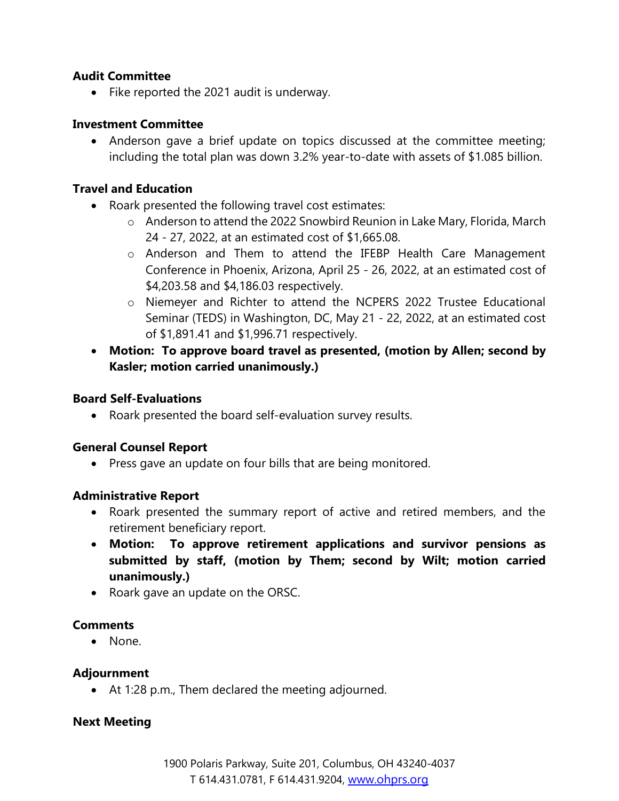### **Audit Committee**

• Fike reported the 2021 audit is underway.

### **Investment Committee**

• Anderson gave a brief update on topics discussed at the committee meeting; including the total plan was down 3.2% year-to-date with assets of \$1.085 billion.

### **Travel and Education**

- Roark presented the following travel cost estimates:
	- o Anderson to attend the 2022 Snowbird Reunion in Lake Mary, Florida, March 24 - 27, 2022, at an estimated cost of \$1,665.08.
	- o Anderson and Them to attend the IFEBP Health Care Management Conference in Phoenix, Arizona, April 25 - 26, 2022, at an estimated cost of \$4,203.58 and \$4,186.03 respectively.
	- o Niemeyer and Richter to attend the NCPERS 2022 Trustee Educational Seminar (TEDS) in Washington, DC, May 21 - 22, 2022, at an estimated cost of \$1,891.41 and \$1,996.71 respectively.
- **Motion: To approve board travel as presented, (motion by Allen; second by Kasler; motion carried unanimously.)**

#### **Board Self-Evaluations**

• Roark presented the board self-evaluation survey results.

#### **General Counsel Report**

• Press gave an update on four bills that are being monitored.

#### **Administrative Report**

- Roark presented the summary report of active and retired members, and the retirement beneficiary report.
- **Motion: To approve retirement applications and survivor pensions as submitted by staff, (motion by Them; second by Wilt; motion carried unanimously.)**
- Roark gave an update on the ORSC.

#### **Comments**

• None.

#### **Adjournment**

• At 1:28 p.m., Them declared the meeting adjourned.

#### **Next Meeting**